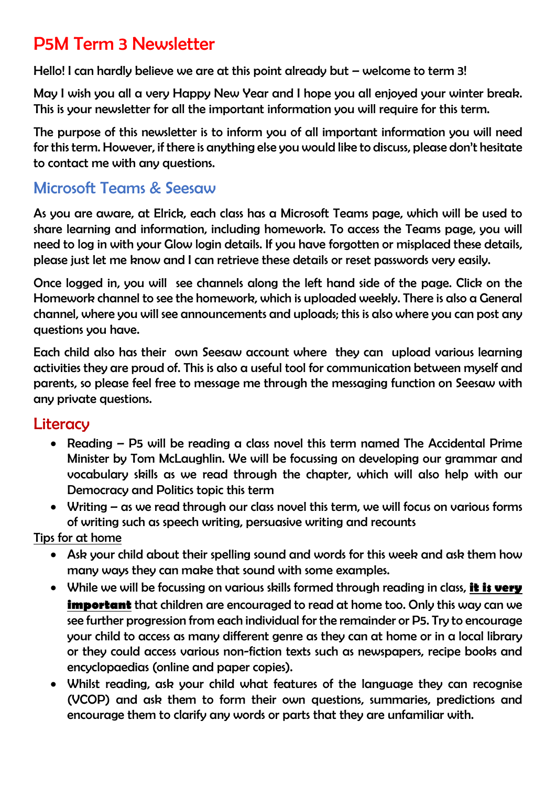# P5M Term 3 Newsletter

Hello! I can hardly believe we are at this point already but – welcome to term 3!

May I wish you all a very Happy New Year and I hope you all enjoyed your winter break. This is your newsletter for all the important information you will require for this term.

The purpose of this newsletter is to inform you of all important information you will need for this term. However, if there is anything else you would like to discuss, please don't hesitate to contact me with any questions.

# Microsoft Teams & Seesaw

As you are aware, at Elrick, each class has a Microsoft Teams page, which will be used to share learning and information, including homework. To access the Teams page, you will need to log in with your Glow login details. If you have forgotten or misplaced these details, please just let me know and I can retrieve these details or reset passwords very easily.

Once logged in, you will see channels along the left hand side of the page. Click on the Homework channel to see the homework, which is uploaded weekly. There is also a General channel, where you will see announcements and uploads; this is also where you can post any questions you have.

Each child also has their own Seesaw account where they can upload various learning activities they are proud of. This is also a useful tool for communication between myself and parents, so please feel free to message me through the messaging function on Seesaw with any private questions.

# **Literacy**

- Reading P5 will be reading a class novel this term named The Accidental Prime Minister by Tom McLaughlin. We will be focussing on developing our grammar and vocabulary skills as we read through the chapter, which will also help with our Democracy and Politics topic this term
- Writing as we read through our class novel this term, we will focus on various forms of writing such as speech writing, persuasive writing and recounts

Tips for at home

- Ask your child about their spelling sound and words for this week and ask them how many ways they can make that sound with some examples.
- While we will be focussing on various skills formed through reading in class, it is very **important** that children are encouraged to read at home too. Only this way can we see further progression from each individual for the remainder or P5. Try to encourage your child to access as many different genre as they can at home or in a local library or they could access various non-fiction texts such as newspapers, recipe books and encyclopaedias (online and paper copies).
- Whilst reading, ask your child what features of the language they can recognise (VCOP) and ask them to form their own questions, summaries, predictions and encourage them to clarify any words or parts that they are unfamiliar with.